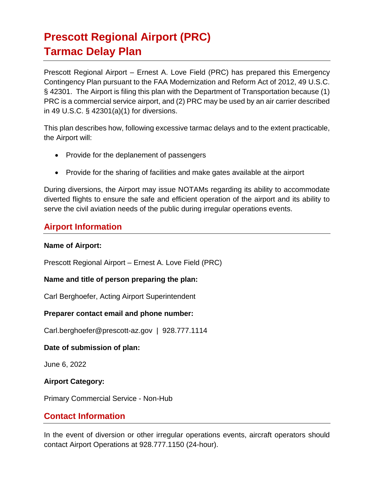# **Prescott Regional Airport (PRC) Tarmac Delay Plan**

Prescott Regional Airport – Ernest A. Love Field (PRC) has prepared this Emergency Contingency Plan pursuant to the FAA Modernization and Reform Act of 2012, 49 U.S.C. § 42301. The Airport is filing this plan with the Department of Transportation because (1) PRC is a commercial service airport, and (2) PRC may be used by an air carrier described in 49 U.S.C. § 42301(a)(1) for diversions.

This plan describes how, following excessive tarmac delays and to the extent practicable, the Airport will:

- Provide for the deplanement of passengers
- Provide for the sharing of facilities and make gates available at the airport

During diversions, the Airport may issue NOTAMs regarding its ability to accommodate diverted flights to ensure the safe and efficient operation of the airport and its ability to serve the civil aviation needs of the public during irregular operations events.

## **Airport Information**

#### **Name of Airport:**

Prescott Regional Airport – Ernest A. Love Field (PRC)

### **Name and title of person preparing the plan:**

Carl Berghoefer, Acting Airport Superintendent

### **Preparer contact email and phone number:**

Carl.berghoefer@prescott-az.gov | 928.777.1114

### **Date of submission of plan:**

June 6, 2022

## **Airport Category:**

Primary Commercial Service - Non-Hub

## **Contact Information**

In the event of diversion or other irregular operations events, aircraft operators should contact Airport Operations at 928.777.1150 (24-hour).